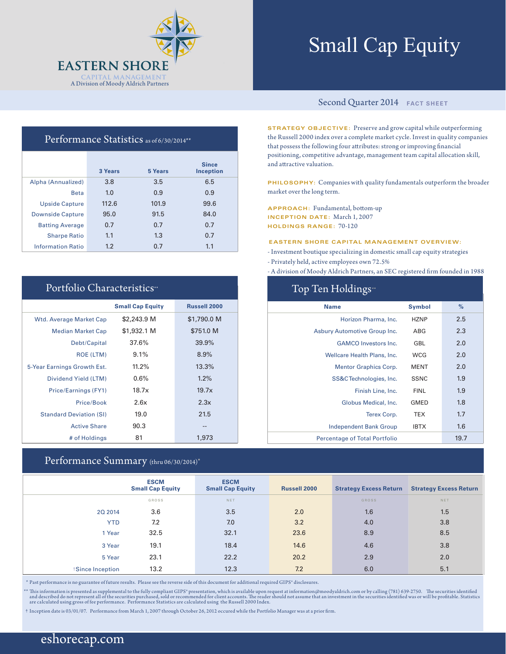

# Small Cap Equity

# Performance Statistics as of 6/30/2014\*\*

|                          | 3 Years | 5 Years | <b>Since</b><br><b>Inception</b> |
|--------------------------|---------|---------|----------------------------------|
| Alpha (Annualized)       | 3.8     | 3.5     | 6.5                              |
| <b>Beta</b>              | 1.0     | 0.9     | 0.9                              |
| <b>Upside Capture</b>    | 112.6   | 101.9   | 99.6                             |
| <b>Downside Capture</b>  | 95.0    | 91.5    | 84.0                             |
| <b>Batting Average</b>   | 0.7     | 0.7     | 0.7                              |
| <b>Sharpe Ratio</b>      | 1.1     | 1.3     | 0.7                              |
| <b>Information Ratio</b> | 1.2     | 0.7     | 1.1                              |

# Portfolio Characteristics\*\*

|                                | <b>Small Cap Equity</b> | <b>Russell 2000</b> |
|--------------------------------|-------------------------|---------------------|
| <b>Wtd. Average Market Cap</b> | \$2,243.9 M             | \$1,790.0 M         |
| <b>Median Market Cap</b>       | \$1,932.1 M             | \$751.0 M           |
| Debt/Capital                   | 37.6%                   | 39.9%               |
| <b>ROE (LTM)</b>               | 9.1%                    | 8.9%                |
| 5-Year Earnings Growth Est.    | 11.2%                   | 13.3%               |
| Dividend Yield (LTM)           | 0.6%                    | $1.2\%$             |
| Price/Earnings (FY1)           | 18.7x                   | 19.7x               |
| Price/Book                     | 2.6x                    | 2.3x                |
| <b>Standard Deviation (SI)</b> | 19.0                    | 21.5                |
| <b>Active Share</b>            | 90.3                    | --                  |
| # of Holdings                  | 81                      | 1,973               |

## Performance Summary (thru 06/30/2014)\*

# Second Quarter 2014 **FACT SHEET**

**STRATEGY OBJECTIVE:** Preserve and grow capital while outperforming the Russell 2000 index over a complete market cycle. Invest in quality companies that possess the following four attributes: strong or improving financial positioning, competitive advantage, management team capital allocation skill, and attractive valuation.

**PHILOSOPHY:** Companies with quality fundamentals outperform the broader market over the long term.

**APPROACH:** Fundamental, bottom-up **INCEPTION DATE:** March 1, 2007 **HOLDINGS RANGE:** 70-120

#### **EASTERN SHORE CAPITAL MANAGEMENT OVERVIEW:**

- Investment boutique specializing in domestic small cap equity strategies

- Privately held, active employees own 72.5%

 $\sim$  T<sub>op</sub> Holdings

- A division of Moody Aldrich Partners, an SEC registered firm founded in 1988

| TOP TEIL LIORINGS                    |               |      |  |  |  |  |  |
|--------------------------------------|---------------|------|--|--|--|--|--|
| <b>Name</b>                          | <b>Symbol</b> | $\%$ |  |  |  |  |  |
| Horizon Pharma, Inc.                 | <b>HZNP</b>   | 2.5  |  |  |  |  |  |
| Asbury Automotive Group Inc.         | ABG           | 2.3  |  |  |  |  |  |
| <b>GAMCO</b> Investors Inc.          | GBL           | 2.0  |  |  |  |  |  |
| Wellcare Health Plans, Inc.          | <b>WCG</b>    | 2.0  |  |  |  |  |  |
| <b>Mentor Graphics Corp.</b>         | <b>MENT</b>   | 2.0  |  |  |  |  |  |
| SS&CTechnologies, Inc.               | <b>SSNC</b>   | 1.9  |  |  |  |  |  |
| Finish Line, Inc.                    | <b>FINL</b>   | 1.9  |  |  |  |  |  |
| Globus Medical, Inc.                 | <b>GMED</b>   | 1.8  |  |  |  |  |  |
| Terex Corp.                          | <b>TEX</b>    | 1.7  |  |  |  |  |  |
| <b>Independent Bank Group</b>        | <b>IBTX</b>   | 1.6  |  |  |  |  |  |
| <b>Percentage of Total Portfolio</b> |               | 19.7 |  |  |  |  |  |

|                 | <b>ESCM</b><br><b>Small Cap Equity</b> | <b>ESCM</b><br><b>Small Cap Equity</b> | <b>Russell 2000</b> | <b>Strategy Excess Return</b> | <b>Strategy Excess Return</b> |
|-----------------|----------------------------------------|----------------------------------------|---------------------|-------------------------------|-------------------------------|
|                 | GROSS                                  | NET                                    |                     | <b>GROSS</b>                  | NET                           |
| 20 2014         | 3.6                                    | 3.5                                    | 2.0                 | 1.6                           | 1.5                           |
| <b>YTD</b>      | 7.2                                    | 7.0                                    | 3.2                 | 4.0                           | 3.8                           |
| 1 Year          | 32.5                                   | 32.1                                   | 23.6                | 8.9                           | 8.5                           |
| 3 Year          | 19.1                                   | 18.4                                   | 14.6                | 4.6                           | 3.8                           |
| 5 Year          | 23.1                                   | 22.2                                   | 20.2                | 2.9                           | 2.0                           |
| Since Inception | 13.2                                   | 12.3                                   | 7.2                 | 6.0                           | 5.1                           |

\* Past performance is no guarantee of future results. Please see the reverse side of this document for additional required GIPS® disclosures.

\*\* This information is presented as supplemental to the fully compliant GIPS\* presentation, which is available upon request at information@moodyaldrich.com or by calling (781) 639-2750. The securities identified and descri

† Inception date is 03/01/07. Performance from March 1, 2007 through October 26, 2012 occured while the Portfolio Manager was at a prior firm.